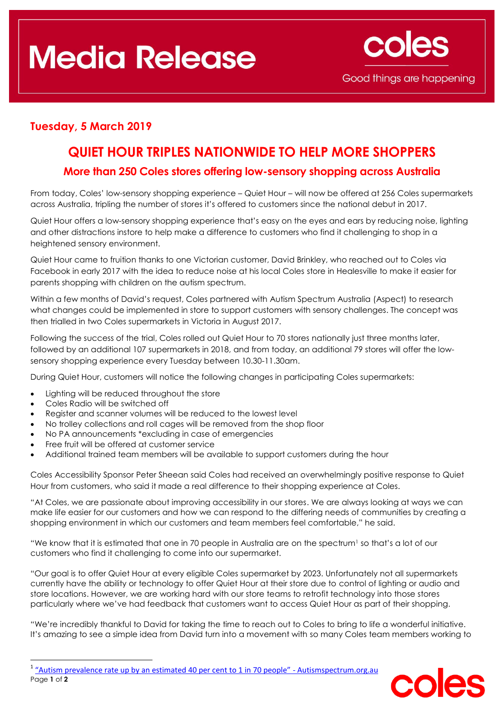# **Media Release**



## **Tuesday, 5 March 2019**

## **QUIET HOUR TRIPLES NATIONWIDE TO HELP MORE SHOPPERS**

### **More than 250 Coles stores offering low-sensory shopping across Australia**

From today, Coles' low-sensory shopping experience – Quiet Hour – will now be offered at 256 Coles supermarkets across Australia, tripling the number of stores it's offered to customers since the national debut in 2017.

Quiet Hour offers a low-sensory shopping experience that's easy on the eyes and ears by reducing noise, lighting and other distractions instore to help make a difference to customers who find it challenging to shop in a heightened sensory environment.

Quiet Hour came to fruition thanks to one Victorian customer, David Brinkley, who reached out to Coles via Facebook in early 2017 with the idea to reduce noise at his local Coles store in Healesville to make it easier for parents shopping with children on the autism spectrum.

Within a few months of David's request, Coles partnered with Autism Spectrum Australia (Aspect) to research what changes could be implemented in store to support customers with sensory challenges. The concept was then trialled in two Coles supermarkets in Victoria in August 2017.

Following the success of the trial, Coles rolled out Quiet Hour to 70 stores nationally just three months later, followed by an additional 107 supermarkets in 2018, and from today, an additional 79 stores will offer the lowsensory shopping experience every Tuesday between 10.30-11.30am.

During Quiet Hour, customers will notice the following changes in participating Coles supermarkets:

- Lighting will be reduced throughout the store
- Coles Radio will be switched off

**.** 

- Register and scanner volumes will be reduced to the lowest level
- No trolley collections and roll cages will be removed from the shop floor
- No PA announcements \*excluding in case of emergencies
- Free fruit will be offered at customer service
- Additional trained team members will be available to support customers during the hour

Coles Accessibility Sponsor Peter Sheean said Coles had received an overwhelmingly positive response to Quiet Hour from customers, who said it made a real difference to their shopping experience at Coles.

"At Coles, we are passionate about improving accessibility in our stores. We are always looking at ways we can make life easier for our customers and how we can respond to the differing needs of communities by creating a shopping environment in which our customers and team members feel comfortable," he said.

"We know that it is estimated that one in 70 people in Australia are on the spectrum<sup>1</sup> so that's a lot of our customers who find it challenging to come into our supermarket.

"Our goal is to offer Quiet Hour at every eligible Coles supermarket by 2023. Unfortunately not all supermarkets currently have the ability or technology to offer Quiet Hour at their store due to control of lighting or audio and store locations. However, we are working hard with our store teams to retrofit technology into those stores particularly where we've had feedback that customers want to access Quiet Hour as part of their shopping.

"We're incredibly thankful to David for taking the time to reach out to Coles to bring to life a wonderful initiative. It's amazing to see a simple idea from David turn into a movement with so many Coles team members working to

Page **1** of **2** <sup>1</sup> ["Autism prevalence rate up by an estimated 40 per cent to 1 in 70 people"](https://www.autismspectrum.org.au/news/autism-prevalence-rate-estimated-40-1-70-people) - Autismspectrum.org.au